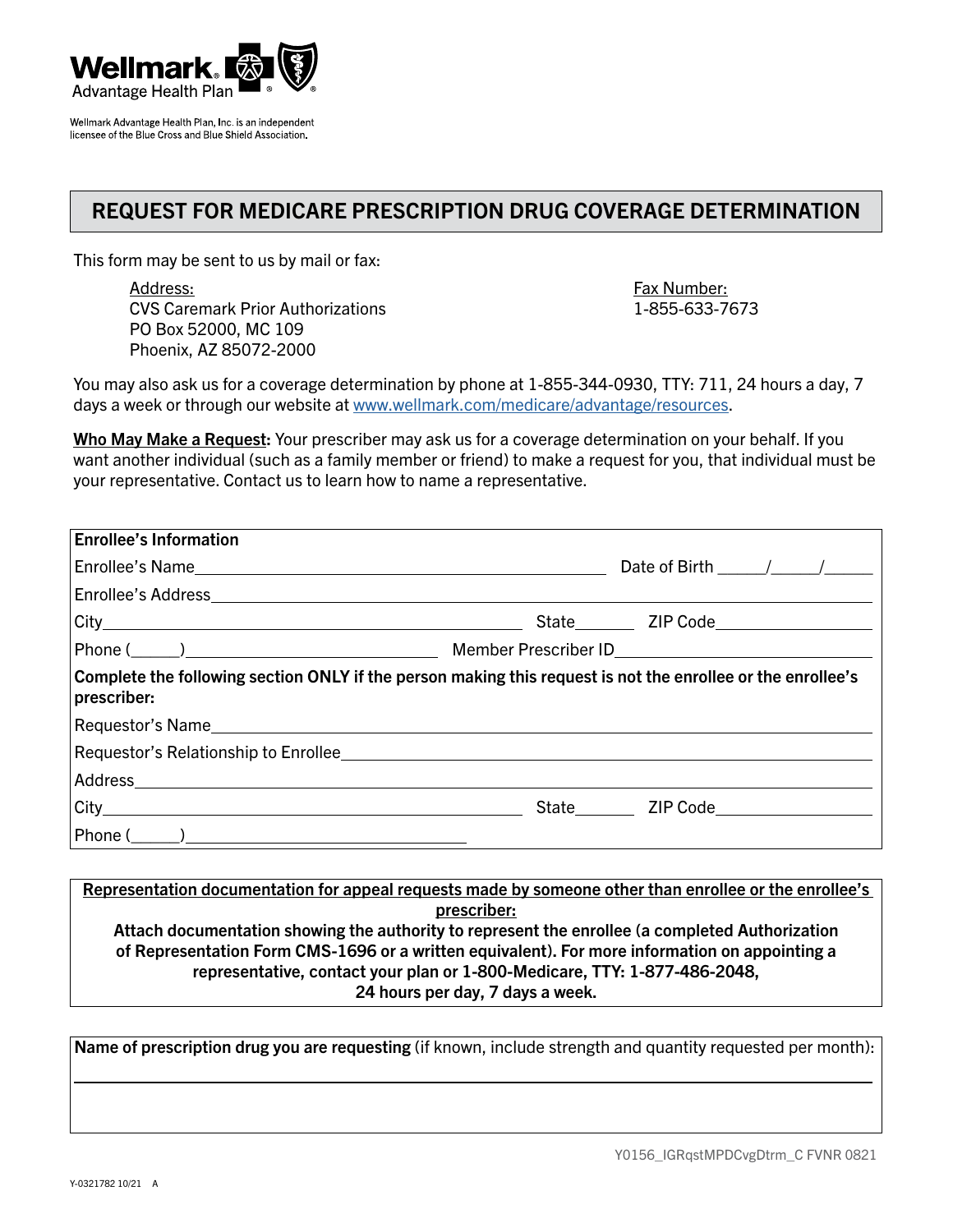

Wellmark Advantage Health Plan, Inc. is an independent licensee of the Blue Cross and Blue Shield Association.

## REQUEST FOR MEDICARE PRESCRIPTION DRUG COVERAGE DETERMINATION

This form may be sent to us by mail or fax:

Address: Fax Number: CVS Caremark Prior Authorizations 1-855-633-7673 PO Box 52000, MC 109 Phoenix, AZ 85072-2000

You may also ask us for a coverage determination by phone at 1-855-344-0930, TTY: 711, 24 hours a day, 7 days a week or through our website at [www.wellmark.com/medicare/advantage/resources](http://www.wellmark.com/medicare/advantage/resources).

Who May Make a Request: Your prescriber may ask us for a coverage determination on your behalf. If you want another individual (such as a family member or friend) to make a request for you, that individual must be your representative. Contact us to learn how to name a representative.

| Date of Birth $\frac{\sqrt{2}}{2}$                                                                                                                                                                                            |
|-------------------------------------------------------------------------------------------------------------------------------------------------------------------------------------------------------------------------------|
|                                                                                                                                                                                                                               |
|                                                                                                                                                                                                                               |
|                                                                                                                                                                                                                               |
| Complete the following section ONLY if the person making this request is not the enrollee or the enrollee's                                                                                                                   |
|                                                                                                                                                                                                                               |
|                                                                                                                                                                                                                               |
|                                                                                                                                                                                                                               |
| State State State State State State State State State State State State State State State State State State State State State State State State State State State State State State State State State State State State State |
|                                                                                                                                                                                                                               |
|                                                                                                                                                                                                                               |

Representation documentation for appeal requests made by someone other than enrollee or the enrollee's prescriber: Attach documentation showing the authority to represent the enrollee (a completed Authorization of Representation Form CMS-1696 or a written equivalent). For more information on appointing a representative, contact your plan or 1-800-Medicare, TTY: 1-877-486-2048, 24 hours per day, 7 days a week.

Name of prescription drug you are requesting (if known, include strength and quantity requested per month):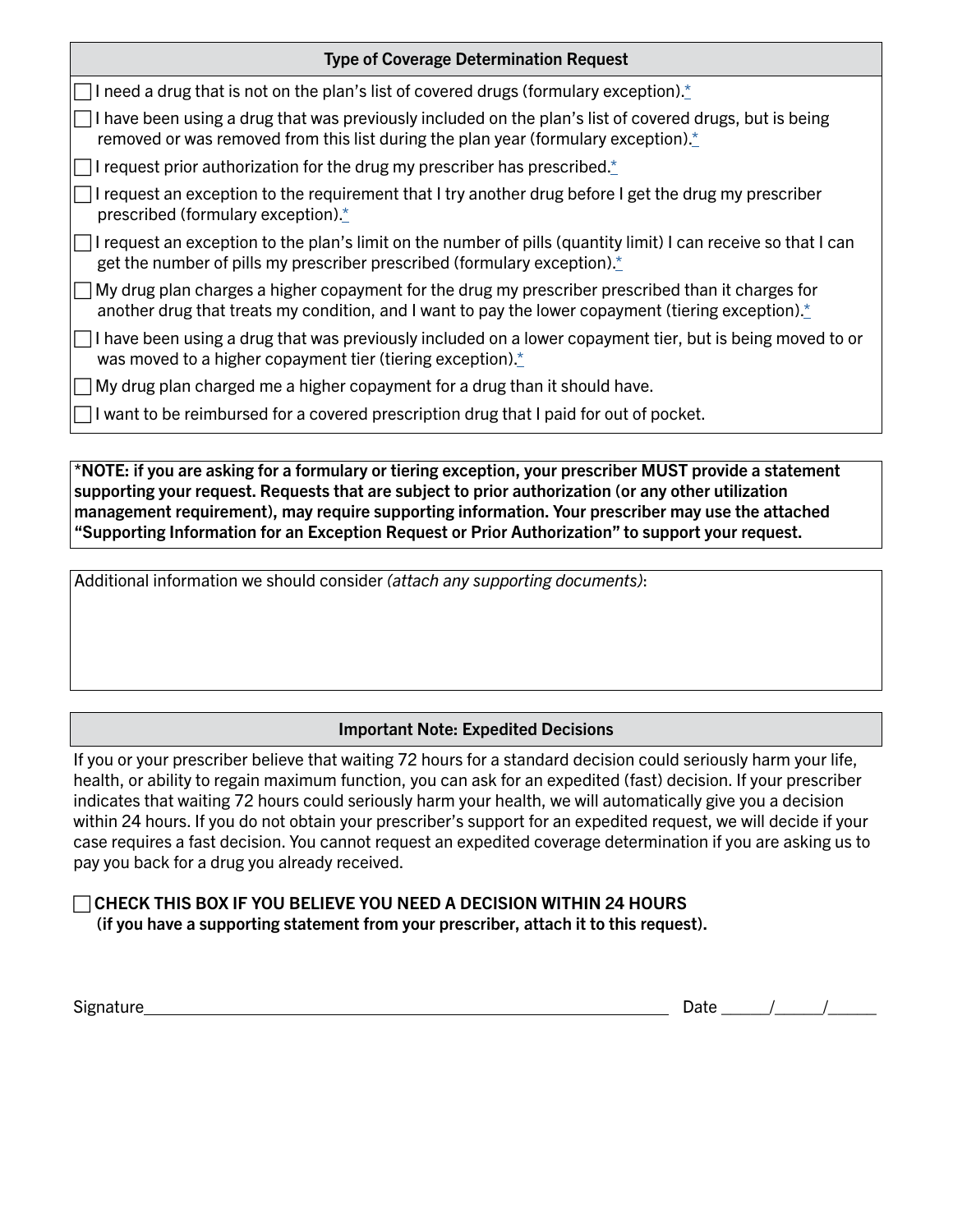| <b>Type of Coverage Determination Request</b>                                                                                                                                                                                    |
|----------------------------------------------------------------------------------------------------------------------------------------------------------------------------------------------------------------------------------|
| $\Box$ I need a drug that is not on the plan's list of covered drugs (formulary exception).*                                                                                                                                     |
| I have been using a drug that was previously included on the plan's list of covered drugs, but is being<br>removed or was removed from this list during the plan year (formulary exception).*                                    |
| $\Box$ I request prior authorization for the drug my prescriber has prescribed.*                                                                                                                                                 |
| $\Box$ I request an exception to the requirement that I try another drug before I get the drug my prescriber<br>prescribed (formulary exception). $*$                                                                            |
| $\Box$ I request an exception to the plan's limit on the number of pills (quantity limit) I can receive so that I can<br>get the number of pills my prescriber prescribed (formulary exception).*                                |
| $\Box$ My drug plan charges a higher copayment for the drug my prescriber prescribed than it charges for<br>another drug that treats my condition, and I want to pay the lower copayment (tiering exception). $\dot{\mathbf{r}}$ |
| $\Box$ I have been using a drug that was previously included on a lower copayment tier, but is being moved to or<br>was moved to a higher copayment tier (tiering exception) $\frac{*}{s}$                                       |
| $\Box$ My drug plan charged me a higher copayment for a drug than it should have.                                                                                                                                                |
| $\Box$ I want to be reimbursed for a covered prescription drug that I paid for out of pocket.                                                                                                                                    |
|                                                                                                                                                                                                                                  |

<span id="page-1-0"></span>\*NOTE: if you are asking for a formulary or tiering exception, your prescriber MUST provide a statement supporting your request. Requests that are subject to prior authorization (or any other utilization management requirement), may require supporting information. Your prescriber may use the attached "Supporting Information for an Exception Request or Prior Authorization" to support your request.

Additional information we should consider *(attach any supporting documents)*:

## Important Note: Expedited Decisions

If you or your prescriber believe that waiting 72 hours for a standard decision could seriously harm your life, health, or ability to regain maximum function, you can ask for an expedited (fast) decision. If your prescriber indicates that waiting 72 hours could seriously harm your health, we will automatically give you a decision within 24 hours. If you do not obtain your prescriber's support for an expedited request, we will decide if your case requires a fast decision. You cannot request an expedited coverage determination if you are asking us to pay you back for a drug you already received.

 $\Box$  CHECK THIS BOX IF YOU BELIEVE YOU NEED A DECISION WITHIN 24 HOURS (if you have a supporting statement from your prescriber, attach it to this request).

 $Sigma = \frac{1}{2}$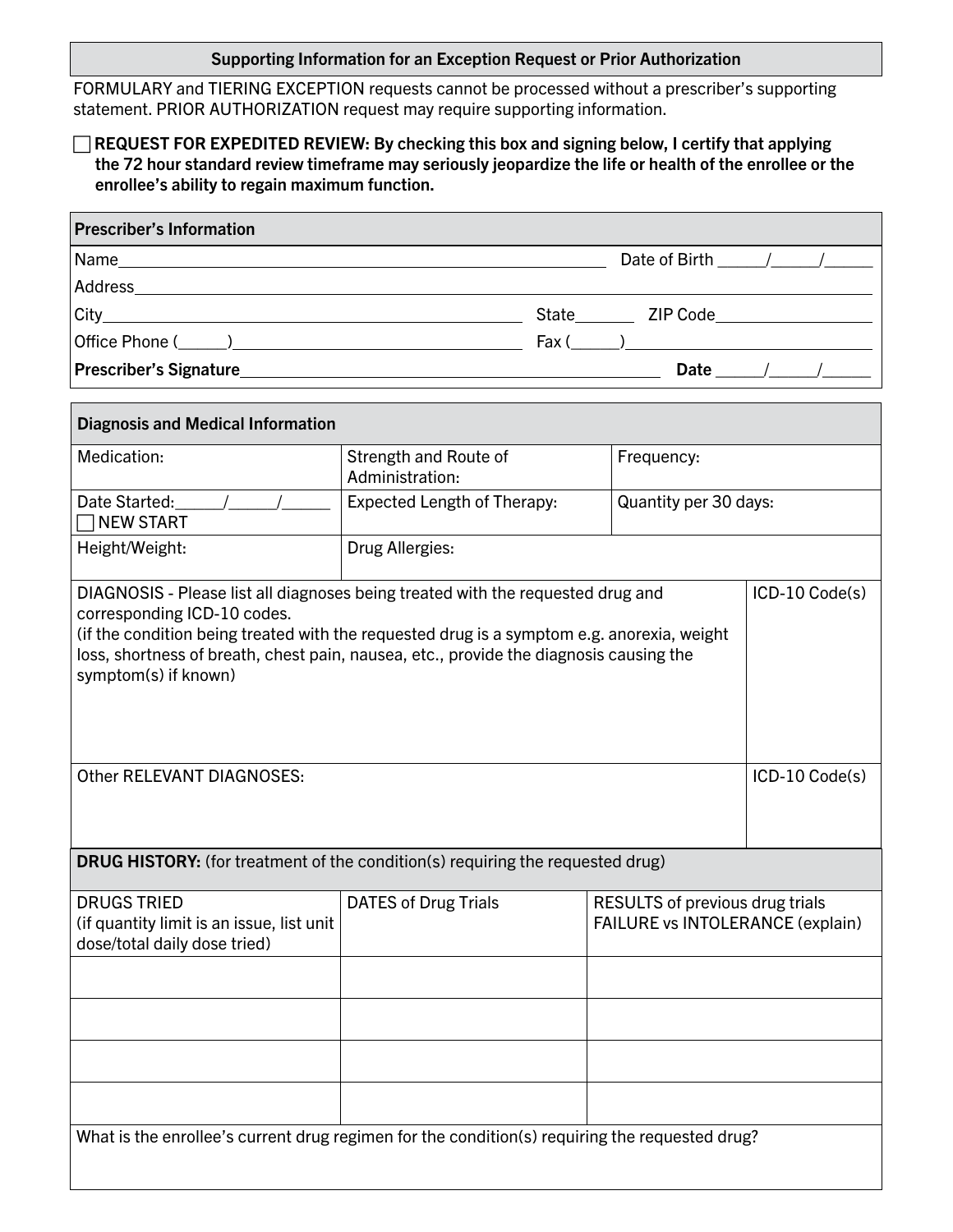## Supporting Information for an Exception Request or Prior Authorization

FORMULARY and TIERING EXCEPTION requests cannot be processed without a prescriber's supporting statement. PRIOR AUTHORIZATION request may require supporting information.

## $\Box$  REQUEST FOR EXPEDITED REVIEW: By checking this box and signing below, I certify that applying the 72 hour standard review timeframe may seriously jeopardize the life or health of the enrollee or the enrollee's ability to regain maximum function.

| <b>Prescriber's Information</b> |                                                                                                                |
|---------------------------------|----------------------------------------------------------------------------------------------------------------|
|                                 | Date of Birth / /                                                                                              |
|                                 |                                                                                                                |
|                                 | State ZIP Code ZIP Communications and the State State State State State State State State State State State St |
|                                 |                                                                                                                |
|                                 | Date $/$ /                                                                                                     |

| <b>Diagnosis and Medical Information</b>                                                                                                                                                                                                                                                                                       |                                          |            |                                                                            |  |  |  |
|--------------------------------------------------------------------------------------------------------------------------------------------------------------------------------------------------------------------------------------------------------------------------------------------------------------------------------|------------------------------------------|------------|----------------------------------------------------------------------------|--|--|--|
| Medication:                                                                                                                                                                                                                                                                                                                    | Strength and Route of<br>Administration: | Frequency: |                                                                            |  |  |  |
| Date Started:<br><b>NEW START</b>                                                                                                                                                                                                                                                                                              | <b>Expected Length of Therapy:</b>       |            | Quantity per 30 days:                                                      |  |  |  |
| Height/Weight:                                                                                                                                                                                                                                                                                                                 | Drug Allergies:                          |            |                                                                            |  |  |  |
| DIAGNOSIS - Please list all diagnoses being treated with the requested drug and<br>corresponding ICD-10 codes.<br>(if the condition being treated with the requested drug is a symptom e.g. anorexia, weight<br>loss, shortness of breath, chest pain, nausea, etc., provide the diagnosis causing the<br>symptom(s) if known) | ICD-10 Code(s)                           |            |                                                                            |  |  |  |
| Other RELEVANT DIAGNOSES:                                                                                                                                                                                                                                                                                                      |                                          |            | ICD-10 Code(s)                                                             |  |  |  |
| <b>DRUG HISTORY:</b> (for treatment of the condition(s) requiring the requested drug)                                                                                                                                                                                                                                          |                                          |            |                                                                            |  |  |  |
| <b>DRUGS TRIED</b><br>(if quantity limit is an issue, list unit<br>dose/total daily dose tried)                                                                                                                                                                                                                                | <b>DATES of Drug Trials</b>              |            | <b>RESULTS of previous drug trials</b><br>FAILURE vs INTOLERANCE (explain) |  |  |  |
|                                                                                                                                                                                                                                                                                                                                |                                          |            |                                                                            |  |  |  |
|                                                                                                                                                                                                                                                                                                                                |                                          |            |                                                                            |  |  |  |
|                                                                                                                                                                                                                                                                                                                                |                                          |            |                                                                            |  |  |  |
|                                                                                                                                                                                                                                                                                                                                |                                          |            |                                                                            |  |  |  |
| What is the enrollee's current drug regimen for the condition(s) requiring the requested drug?                                                                                                                                                                                                                                 |                                          |            |                                                                            |  |  |  |